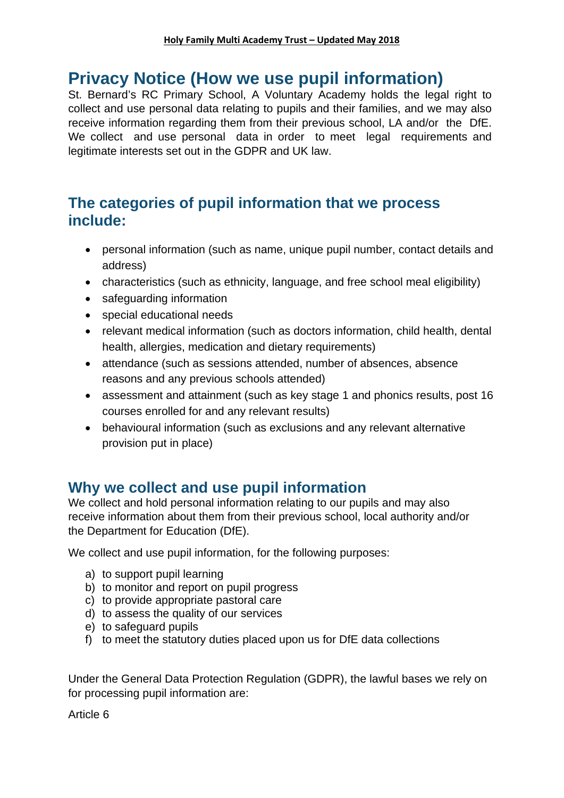# **Privacy Notice (How we use pupil information)**

St. Bernard's RC Primary School, A Voluntary Academy holds the legal right to collect and use personal data relating to pupils and their families, and we may also receive information regarding them from their previous school, LA and/or the DfE. We collect and use personal data in order to meet legal requirements and legitimate interests set out in the GDPR and UK law.

## **The categories of pupil information that we process include:**

- personal information (such as name, unique pupil number, contact details and address)
- characteristics (such as ethnicity, language, and free school meal eligibility)
- safeguarding information
- special educational needs
- relevant medical information (such as doctors information, child health, dental health, allergies, medication and dietary requirements)
- attendance (such as sessions attended, number of absences, absence reasons and any previous schools attended)
- assessment and attainment (such as key stage 1 and phonics results, post 16 courses enrolled for and any relevant results)
- behavioural information (such as exclusions and any relevant alternative provision put in place)

# **Why we collect and use pupil information**

We collect and hold personal information relating to our pupils and may also receive information about them from their previous school, local authority and/or the Department for Education (DfE).

We collect and use pupil information, for the following purposes:

- a) to support pupil learning
- b) to monitor and report on pupil progress
- c) to provide appropriate pastoral care
- d) to assess the quality of our services
- e) to safeguard pupils
- f) to meet the statutory duties placed upon us for DfE data collections

Under the General Data Protection Regulation (GDPR), the lawful bases we rely on for processing pupil information are:

Article 6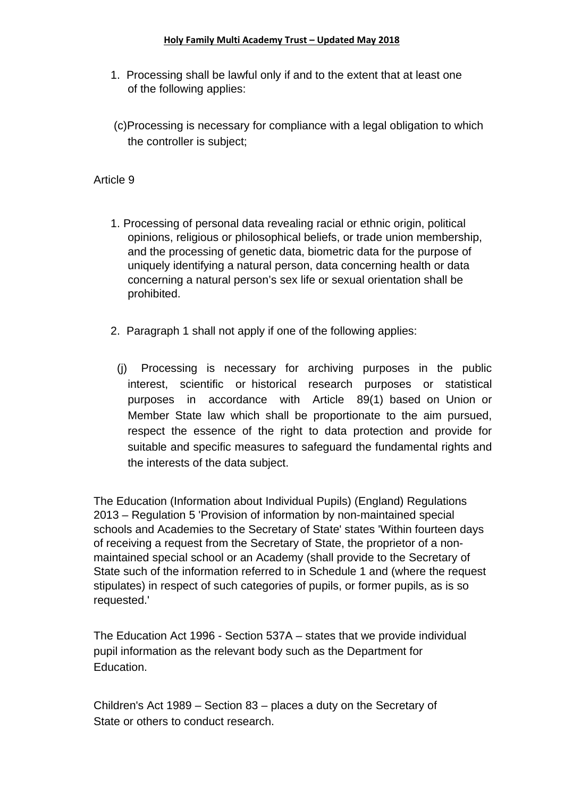#### **Holy Family Multi Academy Trust – Updated May 2018**

- 1. Processing shall be lawful only if and to the extent that at least one of the following applies:
- (c)Processing is necessary for compliance with a legal obligation to which the controller is subject;

### Article 9

- 1. Processing of personal data revealing racial or ethnic origin, political opinions, religious or philosophical beliefs, or trade union membership, and the processing of genetic data, biometric data for the purpose of uniquely identifying a natural person, data concerning health or data concerning a natural person's sex life or sexual orientation shall be prohibited.
- 2. Paragraph 1 shall not apply if one of the following applies:
- (j) Processing is necessary for archiving purposes in the public interest, scientific or historical research purposes or statistical purposes in accordance with Article 89(1) based on Union or Member State law which shall be proportionate to the aim pursued, respect the essence of the right to data protection and provide for suitable and specific measures to safeguard the fundamental rights and the interests of the data subject.

The Education (Information about Individual Pupils) (England) Regulations 2013 – Regulation 5 'Provision of information by non-maintained special schools and Academies to the Secretary of State' states 'Within fourteen days of receiving a request from the Secretary of State, the proprietor of a nonmaintained special school or an Academy (shall provide to the Secretary of State such of the information referred to in Schedule 1 and (where the request stipulates) in respect of such categories of pupils, or former pupils, as is so requested.'

The Education Act 1996 - Section 537A – states that we provide individual pupil information as the relevant body such as the Department for Education.

Children's Act 1989 – Section 83 – places a duty on the Secretary of State or others to conduct research.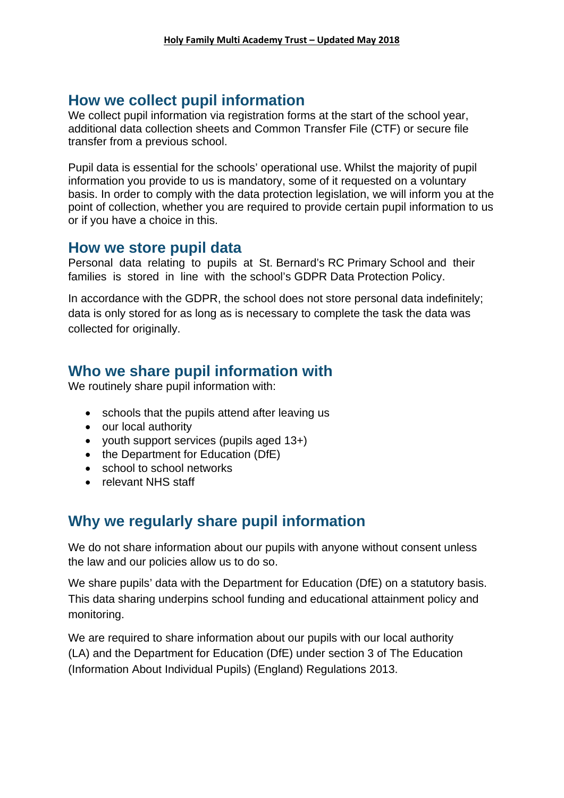## **How we collect pupil information**

We collect pupil information via registration forms at the start of the school year, additional data collection sheets and Common Transfer File (CTF) or secure file transfer from a previous school.

Pupil data is essential for the schools' operational use. Whilst the majority of pupil information you provide to us is mandatory, some of it requested on a voluntary basis. In order to comply with the data protection legislation, we will inform you at the point of collection, whether you are required to provide certain pupil information to us or if you have a choice in this.

### **How we store pupil data**

Personal data relating to pupils at St. Bernard's RC Primary School and their families is stored in line with the school's GDPR Data Protection Policy.

In accordance with the GDPR, the school does not store personal data indefinitely; data is only stored for as long as is necessary to complete the task the data was collected for originally.

## **Who we share pupil information with**

We routinely share pupil information with:

- schools that the pupils attend after leaving us
- our local authority
- youth support services (pupils aged 13+)
- the Department for Education (DfE)
- school to school networks
- relevant NHS staff

# **Why we regularly share pupil information**

We do not share information about our pupils with anyone without consent unless the law and our policies allow us to do so.

We share pupils' data with the Department for Education (DfE) on a statutory basis. This data sharing underpins school funding and educational attainment policy and monitoring.

We are required to share information about our pupils with our local authority (LA) and the Department for Education (DfE) under section 3 of The Education (Information About Individual Pupils) (England) Regulations 2013.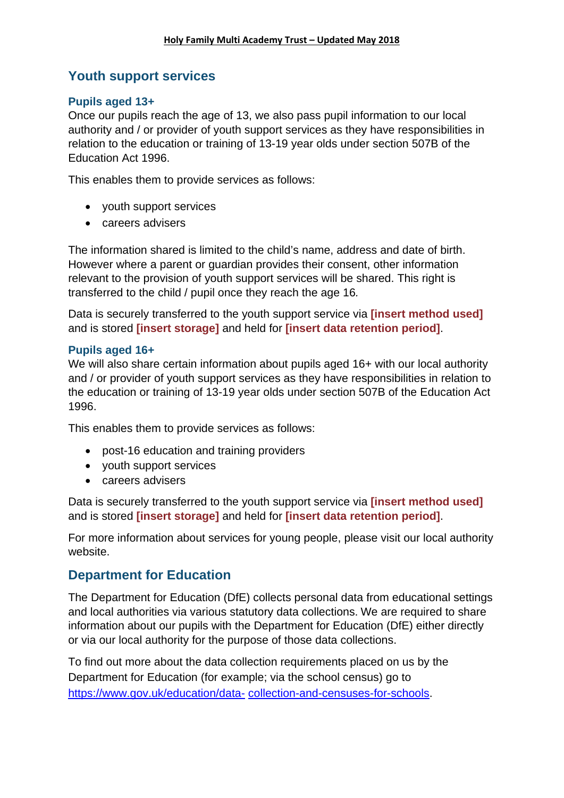### **Youth support services**

### **Pupils aged 13+**

Once our pupils reach the age of 13, we also pass pupil information to our local authority and / or provider of youth support services as they have responsibilities in relation to the education or training of 13-19 year olds under section 507B of the Education Act 1996.

This enables them to provide services as follows:

- youth support services
- careers advisers

The information shared is limited to the child's name, address and date of birth. However where a parent or guardian provides their consent, other information relevant to the provision of youth support services will be shared. This right is transferred to the child / pupil once they reach the age 16*.*

Data is securely transferred to the youth support service via **[insert method used]** and is stored **[insert storage]** and held for **[insert data retention period]**.

#### **Pupils aged 16+**

We will also share certain information about pupils aged 16+ with our local authority and / or provider of youth support services as they have responsibilities in relation to the education or training of 13-19 year olds under section 507B of the Education Act 1996.

This enables them to provide services as follows:

- post-16 education and training providers
- youth support services
- careers advisers

Data is securely transferred to the youth support service via **[insert method used]** and is stored **[insert storage]** and held for **[insert data retention period]**.

For more information about services for young people, please visit our local authority website.

### **Department for Education**

The Department for Education (DfE) collects personal data from educational settings and local authorities via various statutory data collections. We are required to share information about our pupils with the Department for Education (DfE) either directly or via our local authority for the purpose of those data collections.

To find out more about the data collection requirements placed on us by the Department for Education (for example; via the school census) go to https://www.gov.uk/education/data- collection-and-censuses-for-schools.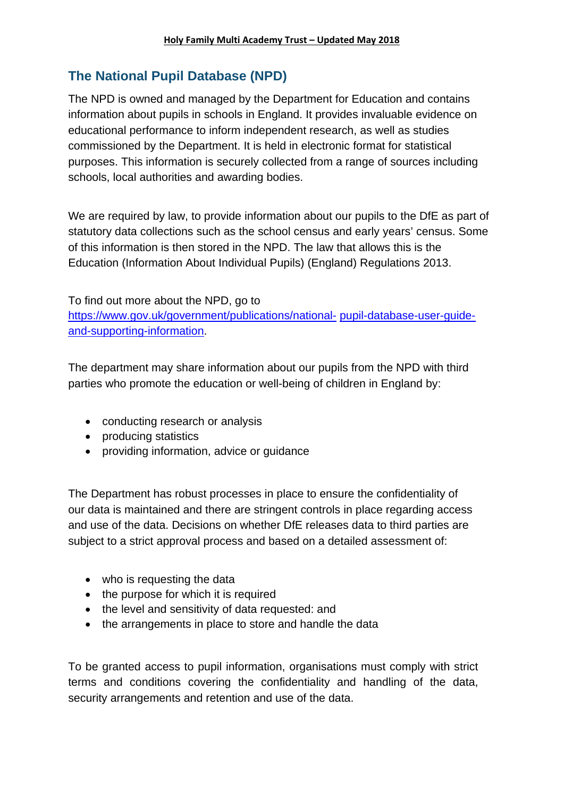### **The National Pupil Database (NPD)**

The NPD is owned and managed by the Department for Education and contains information about pupils in schools in England. It provides invaluable evidence on educational performance to inform independent research, as well as studies commissioned by the Department. It is held in electronic format for statistical purposes. This information is securely collected from a range of sources including schools, local authorities and awarding bodies.

We are required by law, to provide information about our pupils to the DfE as part of statutory data collections such as the school census and early years' census. Some of this information is then stored in the NPD. The law that allows this is the Education (Information About Individual Pupils) (England) Regulations 2013.

To find out more about the NPD, go to https://www.gov.uk/government/publications/national- pupil-database-user-guideand-supporting-information.

The department may share information about our pupils from the NPD with third parties who promote the education or well-being of children in England by:

- conducting research or analysis
- producing statistics
- providing information, advice or guidance

The Department has robust processes in place to ensure the confidentiality of our data is maintained and there are stringent controls in place regarding access and use of the data. Decisions on whether DfE releases data to third parties are subject to a strict approval process and based on a detailed assessment of:

- who is requesting the data
- the purpose for which it is required
- the level and sensitivity of data requested: and
- the arrangements in place to store and handle the data

To be granted access to pupil information, organisations must comply with strict terms and conditions covering the confidentiality and handling of the data, security arrangements and retention and use of the data.